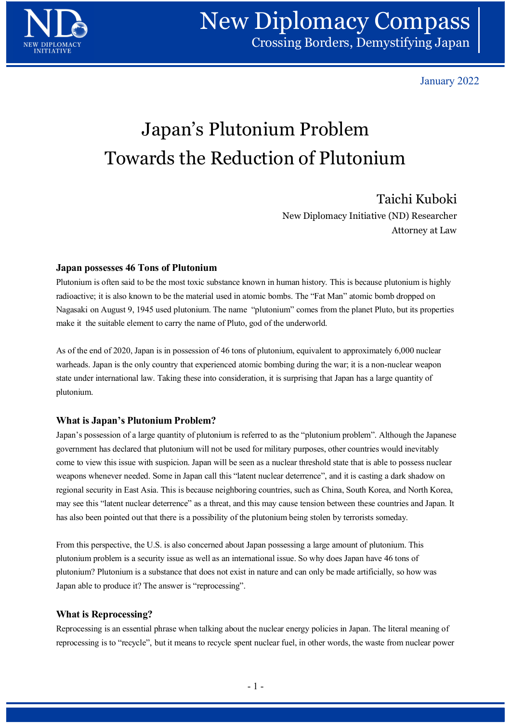

January 2022

# Japan's Plutonium Problem Towards the Reduction of Plutonium

New Diplomacy Initiative (ND) Researcher Attorney at Law

## Japan possesses 46 Tons of Plutonium

Plutonium is often said to be the most toxic substance known in human history. This is because plutonium is highly radioactive; it is also known to be the material used in atomic bombs. The "Fat Man" atomic bomb dropped on Nagasaki on August 9, 1945 used plutonium. The name "plutonium" comes from the planet Pluto, but its properties make it the suitable element to carry the name of Pluto, god of the underworld.

As of the end of 2020, Japan is in possession of 46 tons of plutonium, equivalent to approximately 6,000 nuclear warheads. Japan is the only country that experienced atomic bombing during the war; it is a non-nuclear weapon state under international law. Taking these into consideration, it is surprising that Japan has a large quantity of plutonium.

### What is Japan's Plutonium Problem?

Japan's possession of a large quantity of plutonium is referred to as the "plutonium problem". Although the Japanese government has declared that plutonium will not be used for military purposes, other countries would inevitably come to view this issue with suspicion. Japan will be seen as a nuclear threshold state that is able to possess nuclear weapons whenever needed. Some in Japan call this "latent nuclear deterrence", and it is casting a dark shadow on regional security in East Asia. This is because neighboring countries, such as China, South Korea, and North Korea, may see this "latent nuclear deterrence" as a threat, and this may cause tension between these countries and Japan. It has also been pointed out that there is a possibility of the plutonium being stolen by terrorists someday. En as a nuclear diresion state that is able to possess included that is a direct direct deterrence", and it is casting a dark shadow on mg countries, such as China, South Korea, and North Korea, this may cause tension betw

From this perspective, the U.S. is also concerned about Japan possessing a large amount of plutonium. This plutonium problem is a security issue as well as an international issue. So why does Japan have 46 tons of plutonium? Plutonium is a substance that does not exist in nature and can only be made artificially, so how was Japan able to produce it? The answer is "reprocessing".

### What is Reprocessing?

Reprocessing is an essential phrase when talking about the nuclear energy policies in Japan. The literal meaning of reprocessing is to "recycle", but it means to recycle spent nuclear fuel, in other words, the waste from nuclear power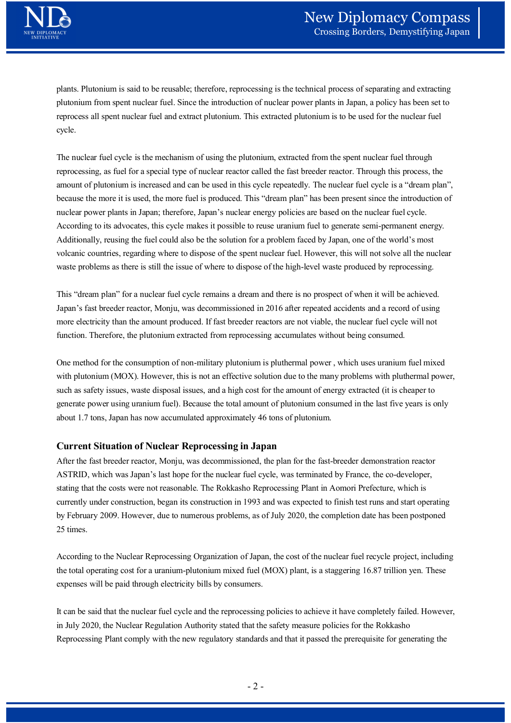plants. Plutonium is said to be reusable; therefore, reprocessing is the technical process of separating and extracting plutonium from spent nuclear fuel. Since the introduction of nuclear power plants in Japan, a policy has been set to reprocess all spent nuclear fuel and extract plutonium. This extracted plutonium is to be used for the nuclear fuel cycle.

The nuclear fuel cycle is the mechanism of using the plutonium, extracted from the spent nuclear fuel through reprocessing, as fuel for a special type of nuclear reactor called the fast breeder reactor. Through this process, the amount of plutonium is increased and can be used in this cycle repeatedly. The nuclear fuel cycle is a "dream plan", because the more it is used, the more fuel is produced. This "dream plan" has been present since the introduction of nuclear power plants in Japan; therefore, Japan's nuclear energy policies are based on the nuclear fuel cycle. According to its advocates, this cycle makes it possible to reuse uranium fuel to generate semi-permanent energy. Additionally, reusing the fuel could also be the solution for a problem faced by Japan, one of the world's most volcanic countries, regarding where to dispose of the spent nuclear fuel. However, this will not solve all the nuclear waste problems as there is still the issue of where to dispose of the high-level waste produced by reprocessing. The nuclear fuel cycle is the mechanism of using the plutonium, extracted from the spent nuclear fuel through preprocessing, as fuel for a special type of nuclear reactor called the fast breeder reactor. Through this proce The nuclear fuel cycle is the mechanism of using the plutonium, extracted from the spent nuclear fuel through transpag, as fuel for a special type of nuclear fractor called the fast breader reactor. Through this process, t reprocessing, as fuel for a special type of muclear reactor called the fast broeder reactor. Through this process, the amount of plutonium is increased and can be used in this cycle repeated. The muclear fuel cycle is a "d

This "dream plan" for a nuclear fuel cycle remains a dream and there is no prospect of when it will be achieved. Japan's fast breeder reactor, Monju, was decommissioned in 2016 after repeated accidents and a record of using more electricity than the amount produced. If fast breeder reactors are not viable, the nuclear fuel cycle will not function. Therefore, the plutonium extracted from reprocessing accumulates without being consumed.

generate power using uranium fuel). Because the total amount of plutonium consumed in the last five years is only about 1.7 tons, Japan has now accumulated approximately 46 tons of plutonium.

### Current Situation of Nuclear Reprocessing in Japan

After the fast breeder reactor, Monju, was decommissioned, the plan for the fast-breeder demonstration reactor ASTRID, which was Japan's last hope for the nuclear fuel cycle, was terminated by France, the co-developer, waste problems as there is still the issue of where to dispose of the high-level waste produced by reprocessing.<br>This "dream plan" for a nuclear fuel cycle remains a dream and there is no prospect of when it will be achiev currently under construction, began its construction in 1993 and was expected to finish test runs and start operating by February 2009. However, due to numerous problems, as of July 2020, the completion date has been postponed 25 times. Exerts are framework and the co-developer, the co-developer, and exerts are free co-developer, be Reprocessing Plant in Aomori Prefecture, which is 993 and was expected to finish test runs and start operating is, as of Jul

According to the Nuclear Reprocessing Organization of Japan, the cost of the nuclear fuel recycle project, including the total operating cost for a uranium-plutonium mixed fuel (MOX) plant, is a staggering 16.87 trillion yen. These expenses will be paid through electricity bills by consumers.

It can be said that the nuclear fuel cycle and the reprocessing policies to achieve it have completely failed. However, in July 2020, the Nuclear Regulation Authority stated that the safety measure policies for the Rokkasho Reprocessing Plant comply with the new regulatory standards and that it passed the prerequisite for generating the